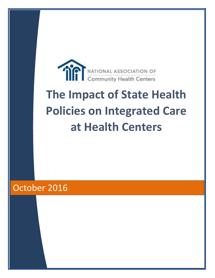

# **The Impact of State Health Policies on Integrated Care at Health Centers**

# October 2016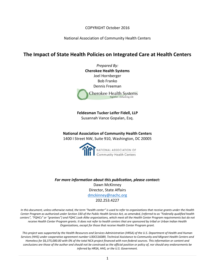COPYRIGHT October 2016

National Association of Community Health Centers

# **The Impact of State Health Policies on Integrated Care at Health Centers**

*Prepared By:* **Cherokee Health Systems** Joel Hornberger Bob Franko Dennis Freeman **Cherokee Health Systems** Together...Enhancing Life

**Feldesman Tucker Leifer Fidell, LLP** Susannah Vance Gopalan, Esq.

**National Association of Community Health Centers** 1400 I Street NW, Suite 910, Washington, DC 20005



*For more information about this publication, please contact:* Dawn McKinney Director, State Affairs [dmckinney@nachc.org](mailto:dmckinney@nachc.org) 202.253.4227

*In this document, unless otherwise noted, the term "health center" is used to refer to organizations that receive grants under the Health Center Program as authorized under Section 330 of the Public Health Service Act, as amended, (referred to as "Federally qualified health centers", "FQHCs" or "grantees") and FQHC Look-Alike organizations, which meet all the Health Center Program requirements but do not receive Health Center Program grants. It does not refer to health centers that are sponsored by tribal or Urban Indian Health Organizations, except for those that receive Health Center Program grant.*

*This project was supported by the Health Resources and Services Administration (HRSA) of the U.S. Department of Health and Human Services (HHS) under cooperative agreement number U30CS16089, Technical Assistance to Community and Migrant Health Centers and Homeless for \$6,375,000.00 with 0% of the total NCA project financed with non-federal sources. This information or content and conclusions are those of the author and should not be construed as the official position or policy of, nor should any endorsements be inferred by HRSA, HHS, or the U.S. Government.*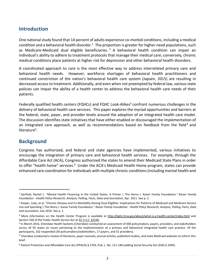# **Introduction**

One national study found that 14 percent of adults experience co-morbid conditions, including a medical condition and a behavioral health disorder.<sup>1</sup> The proportion is greater for higher-need populations, such as Medicare-Medicaid dual eligible beneficiaries.<sup>2</sup> A behavioral health condition can impair an individual's ability to adhere to treatment protocols that manage their medical care; conversely, chronic medical conditions place patients at higher risk for depression and other behavioral health disorders.

A coordinated approach to care is the most effective way to address interrelated primary care and behavioral health needs. However, workforce shortages of behavioral health practitioners and continued constriction of the nation's behavioral health care system (Japsen, 2015) are resulting in decreased access to treatment. Additionally, and even when not preempted by federal law, various state policies can impair the ability of a health center to address the behavioral health care needs of their patients.

Federally qualified health centers (FQHCs) and FQHC Look-Alikes<sup>3</sup> confront numerous challenges in the delivery of behavioral health care services. This paper explores the myriad opportunities and barriers at the federal, state, payer, and provider levels around the adoption of an integrated health care model. The discussion identifies state initiatives that have either enabled or discouraged the implementation of an integrated care approach, as well as recommendations based on feedback from the field<sup>4</sup> and literature<sup>5</sup>.

# **Background**

 $\overline{\phantom{a}}$ 

Congress has authorized, and federal and state agencies have implemented, various initiatives to encourage the integration of primary care and behavioral health services. For example, through the Affordable Care Act (ACA), Congress authorized the states to amend their Medicaid State Plans in order to offer "health home" services.<sup>6</sup> Under the ACA's Medicaid Health Home program, states can provide enhanced care coordination for individuals with multiple chronic conditions (including mental health and

<sup>1</sup> Garfield, Rachel L. "Mental Health Financing in the United States: A Primer | The Henry J. Kaiser Family Foundation." *Kaiser Family Foundation - Health Policy Research, Analysis, Polling, Facts, Data and Journalism*, Apr. 2011. See p. 2.

<sup>&</sup>lt;sup>2</sup> Kasper, Judy, et al. "Chronic Disease and Co-Morbidity Among Dual Eligibles: Implications for Patterns of Medicaid and Medicare Service Use and Spending | The Henry J. Kaiser Family Foundation." *Kaiser Family Foundation - Health Policy Research, Analysis, Polling, Facts, Data and Journalism*, July 2010. See p. 1.

<sup>&</sup>lt;sup>3</sup> More information on the Health Center Program is available at<http://bphc.hrsa.gov/about/what-is-a-health-center/index.html> and Section 330 of the Public Health Service Act a[t 42 U.S.C. §254b.](http://uscode.house.gov/view.xhtml?edition=prelim&req=42+usc+254b&f=treesort&fq=true&num=20&hl=true)

<sup>4</sup> In March 2016, Cherokee Health Systems (Cherokee) conducted an assessment of 500 policymakers, payers, providers, and stakeholders across all 50 states on issues pertaining to the implementation of a primary and behavioral integrated health care practice. Of the participants, 102 responded (34 policymakers/stakeholders, 17 payers, and 51 providers).

<sup>&</sup>lt;sup>5</sup> Cherokee conducted a review of literature, payer manuals, journal articles, published studies, and state Medicaid websites to inform this brief.

<sup>6</sup> Patient Protection and Affordable Care Act (PPACA) § 2703, Pub. L. No. 111-148 (adding Social Security Act (SSA) § 1945).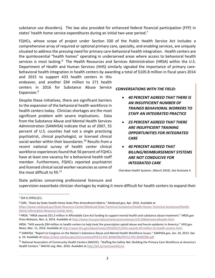substance use disorders). The law also provided for enhanced federal financial participation (FFP) in states' health home service expenditures during an initial two-year period.<sup>7</sup>

FQHCs, whose scope of project under Section 330 of the Public Health Service Act includes a comprehensive array of required or optional primary care, specialty, and enabling services, are uniquely situated to address the pressing need for primary care-behavioral health integration. Health centers are the quintessential "health homes" operating in underserved areas where access to behavioral health services is most lacking.<sup>8</sup> The Health Resources and Services Administration (HRSA) within the U.S. Department of Health and Human Services (HHS) similarly signaled the importance of primary carebehavioral health integration in health centers by awarding a total of \$105.8 million in fiscal years 2014

and 2015 to support 433 health centers in this endeavor, and another \$94 million to 271 health centers in 2016 for Substance Abuse Service Expansion. 9

Despite these initiatives, there are significant barriers to the expansion of the behavioral health workforce in health centers today. Clinician shortages are the most significant problem with severe implications. Data from the Substance Abuse and Mental Health Services Administration (SAMHSA) indicate that as of 2007, 55 percent of U.S. counties had not a single practicing psychiatrist, clinical psychologist, or licensed clinical social worker within their boundaries.<sup>10</sup> Results from a recent national survey of health center clinical workforce experiences found that 56 percent of FQHCs have at least one vacancy for a behavioral health staff member. Furthermore, FQHCs reported psychiatrist and licensed clinical social worker vacancies as some of the most difficult to fill.<sup>11</sup>

*CONVERSATIONS WITH THE FIELD:*

- *40 PERCENT AGREED THAT THERE IS AN INSUFFICIENT NUMBER OF TRAINED BEHAVIORAL WORKERS TO STAFF AN INTEGRATED PRACTICE*
- *23 PERCENT AGREED THAT THERE ARE INSUFFICIENT TRAINING OPPORTUNITIES FOR INTEGRATED CARE*
- *40 PERCENT AGREED THAT BILLING/REIMBURSEMENT SYSTEMS ARE NOT CONDUCIVE FOR INTEGRATED CARE*

Cherokee Health Systems. (March 2016). See footnote 4.

State policies concerning professional licensure and supervision exacerbate clinician shortages by making it more difficult for health centers to expand their

 $7$  SSA § 1945(c)(1).

<sup>8</sup> CMS. "State-by-State Health Home State Plan Amendment Matrix." *Medicaid.gov*, Apr. 2016. Available at [https://www.medicaid.gov/State-Resource-Center/Medicaid-State-Technical-Assistance/Health-Homes-Technical-Assistance/Health-](https://www.medicaid.gov/State-Resource-Center/Medicaid-State-Technical-Assistance/Health-Homes-Technical-Assistance/Health-Home-Information-Resource-Center.html)[Home-Information-Resource-Center.html.](https://www.medicaid.gov/State-Resource-Center/Medicaid-State-Technical-Assistance/Health-Homes-Technical-Assistance/Health-Home-Information-Resource-Center.html)

<sup>9</sup> HRSA. "HRSA awards \$51.3 million in Affordable Care Act funding to support mental health and substance abuse treatment." *HRSA.gov Press Releases*, Nov. 6, 2014. Available at [http://www.hrsa.gov/about/news/pressreleases/141106behavioralhealth.html.](http://www.hrsa.gov/about/news/pressreleases/141106behavioralhealth.html)

HRSA. "HHS awards \$94 million to health centers to help treat the prescription opioid abuse and heroin epidemic in America." *HHS.gov News*, Mar. 11, 2016. Available at [http://www.hhs.gov/about/news/2016/03/11/hhs-awards-94-million-to-health-centers.html.](http://www.hhs.gov/about/news/2016/03/11/hhs-awards-94-million-to-health-centers.html) 

<sup>10</sup> SAMHSA. "Report to Congress on the Nation's Substance Abuse and Mental Health Workforce Issues." *SAMHSA.gov*, Jan. 24, 2013. See p. 10. Available a[t https://store.samhsa.gov/shin/content/PEP13-RTC-BHWORK/PEP13-RTC-BHWORK.pdf.](https://store.samhsa.gov/shin/content/PEP13-RTC-BHWORK/PEP13-RTC-BHWORK.pdf) 

<sup>&</sup>lt;sup>11</sup> National Association of Community Health Centers (NACHC). "Staffing the Safety Net: Building the Primary Care Workforce at America's Health Centers*." NACHC.org*, Mar. 2016. Available at [http://bit.ly/nachcworkforce.](http://bit.ly/nachcworkforce)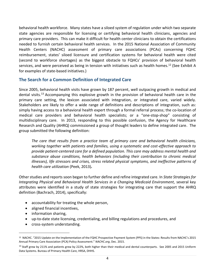behavioral health workforce. Many states have a siloed system of regulation under which two separate state agencies are responsible for licensing or certifying behavioral health clinicians, agencies and primary care providers. This can make it difficult for health center clinicians to obtain the certifications needed to furnish certain behavioral health services. In the 2015 National Association of Community Health Centers (NACHC) assessment of primary care associations (PCAs) concerning FQHC reimbursement, states' siloed licensure and certification systems for behavioral health were cited (second to workforce shortages) as the biggest obstacle to FQHCs' provision of behavioral health services, and were perceived as being in tension with initiatives such as health homes.<sup>12</sup> (See Exhibit A for examples of state-based initiatives.)

# **The Search for a Common Definition of Integrated Care**

Since 2005, behavioral health visits have grown by 187 percent, well outpacing growth in medical and dental visits.<sup>13</sup> Accompanying this explosive growth in the provision of behavioral health care in the primary care setting, the lexicon associated with integration, or integrated care, varied widely. Stakeholders are likely to offer a wide range of definitions and descriptions of integration, such as: simply having access to a behavioral health expert through a formal referral process; the co-location of medical care providers and behavioral health specialists; or a "one-stop-shop" consisting of multidisciplinary care. In 2013, responding to this possible confusion, the Agency for Healthcare Research and Quality (AHRQ) commissioned a group of thought leaders to define integrated care. The group submitted the following definition:

*The care that results from a practice team of primary care and behavioral health clinicians, working together with patients and families, using a systematic and cost-effective approach to provide patient-centered care for a defined population. This care may address mental health and substance abuse conditions, health behaviors (including their contribution to chronic medical illnesses), life stressors and crises, stress related physical symptoms, and ineffective patterns of health care utilization* (Peek, 2013)*.*

Other studies and reports soon began to further define and refine integrated care. In *State Strategies for Integrating Physical and Behavioral Health Services in a Changing Medicaid Environment,* several key attributes were identified in a study of state strategies for integrating care that support the AHRQ definition (Bachrach, 2014), specifically:

- accountability for treating the whole person,
- aligned financial incentives,
- information sharing,

- up-to-date state licensing, credentialing, and billing regulations and procedures, and
- cross-system understanding.

<sup>&</sup>lt;sup>12</sup> NACHC. "2015 Update on the Implementation of the FQHC Prospective Payment System (PPS) in the States: Results from NACHC's 2015 Annual Primary Care Association (PCA) Policy Assessment." *NACHC.org*, Dec. 2015.

<sup>&</sup>lt;sup>13</sup> Staff grew by 211% and patients grew by 222%, both higher than their medical and dental counterparts. See 2005 and 2015 Uniform Data Systems. Bureau of Primary Health Care, HRSA, DHHS.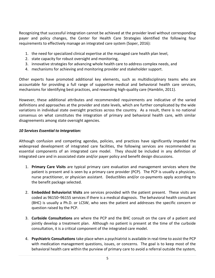Recognizing that successful integration cannot be achieved at the provider level without corresponding payer and policy changes, the Center for Health Care Strategies identified the following four requirements to effectively manage an integrated care system (Soper, 2016):

- 1. the need for specialized clinical expertise at the managed care health plan level,
- 2. state capacity for robust oversight and monitoring,
- 3. innovative strategies for advancing whole health care to address complex needs, and
- 4. mechanisms for achieving and monitoring provider and stakeholder support.

Other experts have promoted additional key elements, such as multidisciplinary teams who are accountable for providing a full range of supportive medical and behavioral health care services, mechanisms for identifying best practices, and rewarding high-quality care (Hamblin, 2011).

However, these additional attributes and recommended requirements are indicative of the varied definitions and approaches at the provider and state levels, which are further complicated by the wide variations in individual state oversight practices across the country. As a result, there is no national consensus on what constitutes the integration of primary and behavioral health care, with similar disagreements among state oversight agencies.

#### *10 Services Essential to Integration:*

Although confusion and competing agendas, policies, and practices have significantly impeded the widespread development of integrated care facilities, the following services are recommended as essential components of an integrated care model. They should be included in any definition of integrated care and in associated state and/or payer policy and benefit design discussions.

- 1. **Primary Care Visits** are typical primary care evaluation and management services where the patient is present and is seen by a primary care provider (PCP). The PCP is usually a physician, nurse practitioner, or physician assistant. Deductibles and/or co-payments apply according to the benefit package selected.
- 2. **Embedded Behaviorist Visits** are services provided with the patient present. These visits are coded as 96150–96155 services if there is a medical diagnosis. The behavioral health consultant (BHC) is usually a Ph.D. or LCSW, who sees the patient and addresses the specific concern or question raised by the PCP.
- 3. **Curbside Consultations** are where the PCP and the BHC consult on the care of a patient and jointly develop a treatment plan. Although no patient is present at the time of the curbside consultation, it is a critical component of the integrated care model.
- 4. **Psychiatric Consultations** take place when a psychiatrist is available in real-time to assist the PCP with medication management questions, issues, or concerns. The goal is to keep most of the behavioral health care within the purview of primary care to avoid a referral outside the system,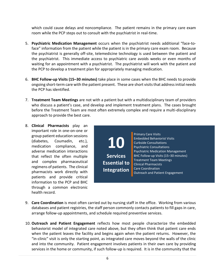which could cause delays and noncompliance. The patient remains in the primary care exam room while the PCP steps out to consult with the psychiatrist in real-time.

- 5. **Psychiatric Medication Management** occurs when the psychiatrist needs additional "face-toface" information from the patient while the patient is in the primary care exam room. Because the psychiatrist is generally off-site, telemedicine technology is used between the patient and the psychiatrist. This immediate access to psychiatric care avoids weeks or even months of waiting for an appointment with a psychiatrist. The psychiatrist will work with the patient and the PCP to develop a treatment plan for appropriately managing medication.
- 6. **BHC Follow-up Visits (15–30 minutes)** take place in some cases when the BHC needs to provide ongoing short-term care with the patient present. These are short visits that address initial needs the PCP has identified.
- 7. **Treatment Team Meetings** are not with a patient but with a multidisciplinary team of providers who discuss a patient's case, and develop and implement treatment plans. The cases brought before the Treatment Team are most often extremely complex and require a multi-disciplinary approach to provide the best care.
- 8. **Clinical Pharmacists** play an important role in one-on-one or group patient education sessions (diabetes, Coumadin, etc.), medication compliance, and adverse medication interactions that reflect the often multiple and complex pharmaceutical regimens of patients. The clinical pharmacists work directly with patients and provide critical information to the PCP and BHC through a common electronic health record.

**10 Services Essential to Integration**

Primary Care Visits Embedded Behaviorist Visits Curbside Consultations Psychiatric Consultations Psychiatric Medication Management BHC Follow-up Visits (15–30 minutes) Treatment Team Meetings Clinical Pharmacists Care Coordination Outreach and Patient Engagement

- 9. **Care Coordination** is most often carried out by nursing staff in the office. Working from various databases and patient registries, the staff person commonly contacts patients to fill gaps in care, arrange follow-up appointments, and schedule required preventive services.
- 10. **Outreach and Patient Engagement** reflects how most people characterize the embedded behaviorist model of integrated care noted above, but they often think that patient care ends when the patient leaves the facility and begins again when the patient returns. However, the "in-clinic" visit is only the starting point, as integrated care moves beyond the walls of the clinic and into the community. Patient engagement involves patients in their own care by providing services in the home or community, if such follow-up is required. It is in the community that the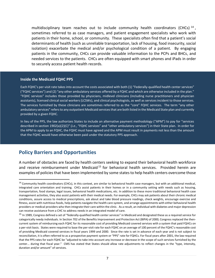multidisciplinary team reaches out to include community health coordinators (CHCs)<sup>14</sup>, sometimes referred to as case managers, and patient engagement specialists who work with patients in their home, school, or community. These specialists often find that a patient's social determinants of health (such as unreliable transportation, lack of housing, food insecurity, social isolation) exacerbate the medical and/or psychological condition of a patient. By engaging patients in the community, CHCs can provide valuable information to the PCPs and BHCs, and needed services to the patients. CHCs are often equipped with smart phones and iPads in order to securely access patient health records.

#### **Inside the Medicaid FQHC PPS**

Each FQHC's per-visit rate takes into account the costs associated with both (1) "Federally-qualified health center services" ("FQHC services") and (2) "any other ambulatory services offered by a FQHC and which are otherwise included in the plan." "FQHC services" includes those provided by physicians, midlevel clinicians (including nurse practitioners and physician assistants), licensed clinical social workers (LCSWs), and clinical psychologists, as well as services incident to those services. The services furnished by these clinicians are sometimes referred to as the "core" FQHC services. The term "any other ambulatory services" refers to any outpatient Medicaid services that are both listed in the Medicaid State plan and currently provided by a given FQHC.

In lieu of the PPS, the law authorizes States to include an alternative payment methodology ("APM") to pay for "services described in section 1902(a)(2)(C)" (*i.e.*, "FQHC services" and "other ambulatory services") in their State plan. In order for the APM to apply to an FQHC, the FQHC must have agreed and the APM must result in payments not less than the amount that the FQHC would have otherwise been paid under the statutory PPS approach.

#### **Policy Barriers and Opportunities** s States to include an alternative payment methodology ("APM") to pay for "services described in section 1902(a)(2)(C)" (*i.e.*, "FQHC services" and "other ambulatory services") in their State plan. In order for the APM to apply to an FQHC, the

 $\overline{\phantom{a}}$ 

A number of obstacles are faced by health centers seeking to expand their behavioral health workforce and receive reimbursement under Medicaid<sup>15</sup> for behavioral health services. Provided herein are examples of policies that have been implemented by some states to help health centers overcome those  $\alpha$  number of obstacles are faced by health cent

 $14$  Community health coordinators (CHCs), in this context, are similar to behavioral health case managers, but with an additional medical, integrated care orientation and training. CHCs assist patients in their homes or in a community setting with needs such as housing, transportation, food stamps, legal issues, behavioral health medications, etc. In addition to these more traditional behavioral health case management activities, they also assist patients with their medical needs. For example, CHCs may ask patients about their chronic medical conditions, assure access to medical prescriptions, ask about and take blood pressure readings, check weights, encourage exercise and fitness, assist with nutritious foods, help patients navigate the health care system, and arrange appointments with either behavioral health providers or medical providers who then integrate their care within the clinic. As a result, an individual with diabetes and major depression can receive assistance from a CHC to address needs in an integrated model of care.

<sup>&</sup>lt;sup>15</sup> In 1989, Congress defined a set of "federally-qualified health center services" in Medicaid and designated these as a required service for categorically needy individuals. In Section 702 of the Benefits Improvement and Protection Act (BIPA) of 2000, Congress replaced the thencurrent system of reimbursing each FQHC for its reasonable cost of providing Medicaid covered services with a system that paid FQHCs on a per-visit basis. States were required to base the per-visit rate for each FQHC on an average of 100 percent of the FQHC's reasonable cost of providing Medicaid covered services in fiscal years 1999 and 2000. Since the rate is set in advance of each year and is not subject to reconciliation, it is often referred to as a prospective payment system or "PPS" rate for FQHCs. For fiscal years after 2001, the law required that the PPS rates for each FQHC be "adjusted to take into account any increase or decrease in the scope of such services furnished by the center... during that fiscal year." CMS has stated that States should allow rate adjustments to reflect changes in the "type, intensity, duration and/or amount" of services.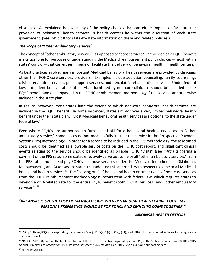obstacles. As explained below, many of the policy choices that can either impede or facilitate the provision of behavioral health services in health centers lie within the discretion of each state government. (See Exhibit B for state-by-state information on these and related policies.)

#### *The Scope of "Other Ambulatory Services"*

The concept of "other ambulatory services" (as opposed to "core services") in the Medicaid FQHC benefit is a critical one for purposes of understanding the Medicaid reimbursement policy choices—most within states' control—that can either impede or facilitate the delivery of behavioral health in health centers.

As best practices evolve, many important Medicaid behavioral health services are provided by clinicians other than FQHC core services providers. Examples include addiction counseling, family counseling, crisis intervention services, peer support services, and psychiatric rehabilitation services. Under federal law, outpatient behavioral health services furnished by non-core clinicians should be included in the FQHC benefit and encompassed in the FQHC reimbursement methodology if the services are otherwise included in the state plan.

In reality, however, most states limit the extent to which non-core behavioral health services are included in the FQHC benefit. In some instances, states simply cover a very limited behavioral health benefit under their state plan. (Most Medicaid behavioral health services are optional to the state under federal law.) $16$ 

Even where FQHCs are authorized to furnish and bill for a behavioral health service as an "other ambulatory service," some states do not meaningfully include the service in the Prospective Payment System (PPS) methodology. In order for a service to be included in the PPS methodology, the associated costs should be identified as allowable service costs on the FQHC cost report, and significant clinical events relating to the service should be identified as billable FQHC "visits" (see *infra.*) triggering a payment of the PPS rate. Some states effectively carve out some or all "other ambulatory services" from the PPS rate, and instead pay FQHCs for those services under the Medicaid fee schedule. Oklahoma, Massachusetts, and Arkansas are states that adopted this approach with respect to some or all Medicaid behavioral health services.<sup>17</sup> The "carving out" of behavioral health or other types of non-core services from the FQHC reimbursement methodology is inconsistent with federal law, which requires states to develop a cost-related rate for the entire FQHC benefit (both "FQHC services" and "other ambulatory services"). $^{18}$ 

## *"ARKANSAS IS ON THE CUSP OF MANAGED CARE WITH BEHAVIORAL HEALTH CARVED OUT…MY PERSONAL PREFERENCE WOULD BE FOR FQHCs AND CMHCs TO COME TOGETHER."*

*-ARKANSAS HEALTH OFFICIAL* 

<sup>16</sup> SSA § 1902(a)(10)(A) (incorporating by reference SSA § 1905(a)(1)-(5), (17), (21), and (28)) lists the required services for categorically needy individuals.

<sup>17</sup> NACHC. "2015 Update on the Implementation of the FQHC Prospective Payment System (PPS) in the States: Results from NACHC's 2015 Annual Primary Care Association (PCA) Policy Assessment." *NACHC.org,* Dec. 2015. *See* pp. 4-5 and supporting data.

<sup>18</sup> SSA § 1902(bb)(1).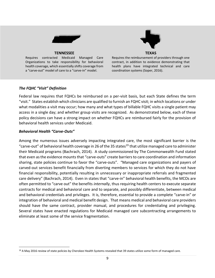

#### **TENNESSEE**

Requires contracted Medicaid Managed Care Organizations to take responsibility for behavioral health coverage, which essentially shifts coverage from a "carve-out" model of care to a "carve-in" model.



Requires the reimbursement of providers through one contract, in addition to evidence demonstrating that health plans have integrated technical and care coordination systems (Soper, 2016).

#### *The FQHC "Visit" Definition*

Federal law requires that FQHCs be reimbursed on a per-visit basis, but each State defines the term "visit." States establish which clinicians are qualified to furnish an FQHC visit; in which locations or under what modalities a visit may occur; how many and what types of billable FQHC visits a single patient may access in a single day; and whether group visits are recognized. As demonstrated below, each of these policy decisions can have a strong impact on whether FQHCs are reimbursed fairly for the provision of behavioral health services under Medicaid.

#### *Behavioral Health "Carve-Outs"*

 $\overline{a}$ 

Among the numerous issues adversely impacting integrated care, the most significant barrier is the "carve-out" of behavioral health coverage in 26 of the 35 states<sup>19</sup> that utilize managed care to administer their Medicaid programs (Bachrach, 2014). A study commissioned by The Commonwealth Fund stated that even as the evidence mounts that "carve-outs" create barriers to care coordination and information sharing, state policies continue to favor the "carve-outs". "Managed care organizations and payers of carved-out services benefit financially from diverting members to services for which they do not have financial responsibility, potentially resulting in unnecessary or inappropriate referrals and fragmented care delivery" (Bachrach, 2014). Even in states that "carve-in" behavioral health benefits, the MCOs are often permitted to "carve out" the benefits *internally*, thus requiring health centers to execute separate contracts for medical and behavioral care and to separate, and possibly differentiate, between medical and behavioral credentials and privileges. It is, therefore, essential to provide a complete "carve-in" or integration of behavioral and medical benefit design. That means medical and behavioral care providers should have the same contract, provider manual, and procedures for credentialing and privileging. Several states have enacted regulations for Medicaid managed care subcontracting arrangements to eliminate at least some of the service fragmentation.

<sup>&</sup>lt;sup>19</sup> A May 2016 review of state policies by Cherokee Health Systems revealed that 39 states utilize some form of managed care.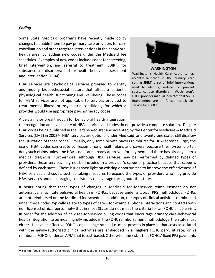#### *Coding*

 $\overline{\phantom{a}}$ 

Some State Medicaid programs have recently made policy changes to enable them to pay primary care providers for care coordination and other targeted interventions in the behavioral health area, by adding new codes under the Medicaid fee schedules. Examples of new codes include codes for screening, brief intervention, and referral to treatment (SBIRT) for substance use disorders; and for health behavior assessment and intervention (HBAI).

HBAI services are psychological services provided to identify and modify biopsychosocial factors that affect a patient's physiological health, functioning and well-being. These codes for HBAI services are not applicable to services provided to treat mental illness or psychiatric conditions, for which a provider would use appropriate psychotherapy codes.



**WASHINGTON**

Washington's Health Care Authority has recently launched in the primary care setting **SBIRT**, a set of brief interventions used to identify, reduce, or prevent substance use disorders. Washington's FQHC provider manual indicates that SBIRT interventions are an "encounter-eligible" service for FQHCs.

Albeit a major breakthrough for behavioral health integration,

the recognition and availability of HBAI services and codes do not provide a complete solution. Despite HBAI codes being published in the *Federal Register* and accepted by the Center for Medicare & Medicaid Services (CMS) in 2002<sup>20</sup>, HBAI services are optional under Medicaid, and twenty-one states still disallow the utilization of these codes. Similarly, only some private payers reimburse for HBAI services. Ergo, the use of HBAI codes can create confusion among health plans and payers, because their systems often deny such claims unless the HBAI codes are already approved for payment and there has already been a medical diagnosis. Furthermore, although HBAI services may be performed by defined types of providers, those services may not be included in a provider's scope of practice because that scope is defined by each state. These issues shed light on existing opportunities to improve the effectiveness of HBAI services and codes, such as taking measures to expand the types of providers who may provide HBAI services and encouraging consistency of coverage throughout the states.

It bears noting that these types of changes in Medicaid fee-for-service reimbursement do not automatically facilitate behavioral health in FQHCs, because under a typical PPS methodology, FQHCs are not reimbursed on the Medicaid fee schedule. In addition, the types of clinical activities reimbursed under these codes typically relate to types of care—for example, phone interactions and contacts with non-licensed clinical personnel—that in most States do not meet the criteria for an FQHC billable visit. In order for the addition of new fee-for-service billing codes that encourage primary care-behavioral health integration to be meaningfully included in the FQHC reimbursement methodology, the State must either: 1) have an effective FQHC scope change rate adjustment process in place so that costs associated with the newly-authorized clinical activities are embedded in a (higher) FQHC per-visit rate; or 2) reimburse FQHCs under an APM that is cost-based. Otherwise, the risk is that FQHCs' fixed PPS payments

<sup>&</sup>lt;sup>20</sup> See the "2002 Physician Fee Schedule", 66 Fed. Reg. 55245, 55463, 55499 (Nov. 1, 2001).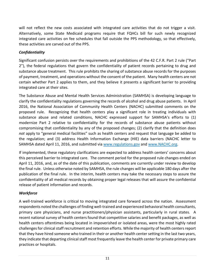will not reflect the new costs associated with integrated care activities that do not trigger a visit. Alternatively, some State Medicaid programs require that FQHCs bill for such newly recognized integrated care activities on fee schedules that fall outside the PPS methodology, so that effectively, these activities are carved out of the PPS.

# *Confidentiality*

Significant confusion persists over the requirements and prohibitions of the 42 C.F.R. Part 2 rule ("Part 2"), the federal regulations that govern the confidentiality of patient records pertaining to drug and substance abuse treatment. This rule prohibits the sharing of substance abuse records for the purposes of payment, treatment, and operations without the consent of the patient. Many health centers are not certain whether Part 2 applies to them, and they believe it presents a significant barrier to providing integrated care at their sites.

The Substance Abuse and Mental Health Services Administration (SAMHSA) is developing language to clarify the confidentiality regulations governing the records of alcohol and drug abuse patients. In April 2016, the National Association of Community Health Centers (NACHC) submitted comments on the proposed rule. Recognizing that health centers play a significant role in treating individuals with substance abuse and related conditions, NACHC expressed support for SAMHSA's efforts to (1) modernize Part 2 relative to confidentiality for the records of substance abuse patients without compromising that confidentiality by any of the proposed changes; (2) clarify that the definition does *not* apply to "general medical facilities" such as health centers and request that language be added to the regulation; and (3) address Health Information Exchange (HIE) data barriers (NACHC letter to SAMHSA dated April 11, 2016, and submitted via [www.regulations.gov](https://www.regulations.gov/document?D=HHS-OS-2016-0005-0254) and [www.NACHC.org.](http://nachc.org/wp-content/uploads/2015/10/4.16-NACHC-Comments-on-42-CFR-Part-2-FINAL.pdf))

If implemented, these regulatory clarifications are expected to address health centers' concerns about this perceived barrier to integrated care. The comment period for the proposed rule changes ended on April 11, 2016, and, as of the date of this publication, comments are currently under review to develop the final rule. Unless otherwise noted by SAMHSA, the rule changes will be applicable 180 days after the publication of the final rule. In the interim, health centers may take the necessary steps to assure the confidentiality of all medical records by obtaining proper legal releases that will assure the confidential release of patient information and records.

# *Workforce*

A well-trained workforce is critical to moving integrated care forward across the nation. Assessment respondents noted the challenges of finding well-trained and experienced behavioral health consultants, primary care physicians, and nurse practitioners/physician assistants, particularly in rural states. A recent national survey of health centers found that competitive salaries and benefit packages, as well as health centers oftentimes being located in impoverished or isolated areas, were the most highly rated challenges for clinical staff recruitment and retention efforts. While the majority of health centers report that they have hired someone who trained in their or another health center setting in the last two years, they indicate that departing clinical staff most frequently leave the health center for private primary care practices or hospitals.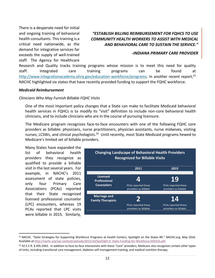There is a desperate need for initial and ongoing training of behavioral health consultants. This training is a critical need nationwide, as the demand for integrative services far exceeds the supply of well-trained staff. The Agency for Healthcare

# *"ESTABLISH BILLING REIMBURSEMENT FOR FQHCS TO USE COMMUNITY HEALTH WORKERS TO ASSIST WITH MEDICAL AND BEHAVIORAL CARE TO SUSTAIN THE SERVICE."*

#### *-INDIANA PRIMARY CARE PROVIDER*

Research and Quality tracks training programs whose mission is to meet this need for quality staff. Integrated care training programs can be found at [http://www.integrationacademy.ahrq.gov/education-workforce/programs.](http://www.integrationacademy.ahrq.gov/education-workforce/programs) In another recent report,<sup>21</sup> NACHC highlighted six states that have recently provided funding to support the FQHC workforce.

#### *Medicaid Reimbursement*

#### *Clinicians Who May Furnish Billable FQHC Visits*

One of the most important policy changes that a State can make to facilitate Medicaid behavioral health services in FQHCs is to modify its "visit" definition to include non-core behavioral health clinicians, and to include clinicians who are in the course of pursuing licensure.

The Medicare program recognizes face-to-face encounters with one of the following FQHC core providers as billable: physicians, nurse practitioners, physician assistants, nurse midwives, visiting nurses, LCSWs, and clinical psychologists.<sup>22</sup> Until recently, most State Medicaid programs hewed to Medicare's limited set of billable providers.

Many States have expanded the list of behavioral health providers they recognize as qualified to provide a billable visit in the last several years. For example, in NACHC's 2011 assessment of state policies, only four Primary Care Associations (PCAs) reported that their State recognized licensed professional counselor (LPC) encounters, whereas 19 PCAs reported that LPC visits were billable in 2015. Similarly,

 $\overline{a}$ 



<sup>21</sup> NACHC. "[State Strategies for Supporting Workforce Programs at Health Centers, Spotlight on the States #9.](http://nachc.org/wp-content/uploads/2015/10/Spotlight-9_State-Funding-for-Workforce-050316.pdf)" *NACHC.org,* May 2016. Available a[t http://nachc.org/wp-content/uploads/2015/10/Spotlight-9\\_State-Funding-for-Workforce-050316.pdf.](http://nachc.org/wp-content/uploads/2015/10/Spotlight-9_State-Funding-for-Workforce-050316.pdf) 

<sup>22 42</sup> C.F.R. § 405.2463. In addition to face-to-face interactions with these "core" providers, Medicare also recognizes certain other types of visits, including transitional care management, diabetes self-management training, and medical nutrition therapy.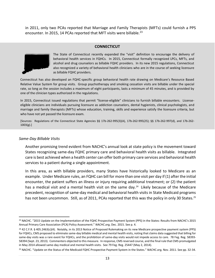in 2011, only two PCAs reported that Marriage and Family Therapists (MFTs) could furnish a PPS encounter. In 2015, 14 PCAs reported that MFT visits were billable.<sup>23</sup>

#### **CONNECTICUT**



The State of Connecticut recently expanded the "visit" definition to encourage the delivery of behavioral health services in FQHCs. In 2015, Connecticut formally recognized LPCs, MFTs, and alcohol and drug counselors as billable FQHC providers. In its new 2015 regulations, Connecticut also recognized a variety of behavioral health clinicians who are in the course of seeking licensure as billable FQHC providers.

Connecticut has also developed an FQHC-specific group behavioral health rate drawing on Medicare's Resource Based Relative Value System for group visits. Group psychotherapy and smoking cessation visits are billable under the special rate, so long as the session includes a maximum of eight participants, lasts a minimum of 45 minutes, and is provided by one of the clinician types authorized in the regulations.

In 2015, Connecticut issued regulations that permit "license-eligible" clinicians to furnish billable encounters. Licenseeligible clinicians are individuals pursuing licensure as addiction counselors, dental hygienists, clinical psychologists, and marriage and family therapists (MFTs) whose education, training, skills and experience satisfy the licensure criteria, but who have not yet passed the licensure exam.

[Sources: Regulations of the Connecticut State Agencies §§ 17b-262-995(3)(A), 17b-262-995(25); §§ 17b-262-997(d), and 17b-262- 1003(g).]

#### *Same-Day Billable Visits*

 $\overline{a}$ 

Another promising trend evident from NACHC's annual look at state policy is the movement toward States recognizing same-day FQHC primary care and behavioral health visits as billable. Integrated care is best achieved when a health center can offer both primary care services and behavioral health services to a patient during a single appointment.

In this area, as with billable providers, many States have historically looked to Medicare as an example. Under Medicare rules, an FQHC can bill for more than one visit per day if (1) after the initial encounter, the patient suffers an illness or injury requiring additional treatment; or (2) the patient has a medical visit and a mental health visit on the same day.<sup>24</sup> Likely because of the Medicare precedent, recognition of same-day medical and behavioral health visits in State Medicaid programs has not been uncommon. Still, as of 2011, PCAs reported that this was the policy in only 30 States.<sup>25</sup>

<sup>&</sup>lt;sup>23</sup> NACHC. "2015 Update on the Implementation of the FQHC Prospective Payment System (PPS) in the States: Results from NACHC's 2015 Annual Primary Care Association (PCA) Policy Assessment." *NACHC.org,* Dec. 2015. See p. 4.

<sup>&</sup>lt;sup>24</sup> 42 C.F.R. § 405.2463(c)(4). Notably, in its 2013 Notice of Proposed Rulemaking on its new Medicare prospective payment system (PPS) for FQHCs, CMS proposed to eliminate same-day billable medical and mental health visits, noting that claims data suggested that billing for same-day visits was a rare event for FQHCs, and the prohibition of same-day visits would not impede access to care. 78 Feg. Reg. 58393- 58394 (Sept. 23, 2013). Commenters objected to this measure. In response, CMS reversed course, and the final rule that CMS promulgated in May 2014 allowed same-day medical and mental health visits. See 79 Feg. Reg. 25447 (May 2, 2014).

<sup>25</sup> NACHC. "Update on the Status of the Medicaid FQHC Prospective Payment System in the States." *NACHC.org,* Nov. 2011. See pp. 32-34.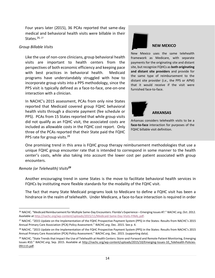Four years later (2015), 36 PCAs reported that same-day medical and behavioral health visits were billable in their States.<sup>26, 27</sup>

#### *Group Billable Visits*

Like the use of non-core clinicians, group behavioral health visits are important to health centers from the perspectives of both economic efficiency and keeping pace with best practices in behavioral health. Medicaid programs have understandably struggled with how to incorporate group visits into a PPS methodology, since the PPS visit is typically defined as a face-to-face, one-on-one interaction with a clinician.

In NACHC's 2015 assessment, PCAs from only nine States reported that Medicaid covered group FQHC behavioral health visits through a discrete payment (fee schedule or PPS). PCAs from 15 States reported that while group visits did not qualify as an FQHC visit, the associated costs are included as allowable costs in the FQHC cost report. Only three of the PCAs reported that their State paid the FQHC PPS rate for group visits.<sup>28</sup>



#### **NEW MEXICO**

New Mexico uses the same telehealth framework as Medicare, with separate payments for the originating site and distant site, but recognize FQHCs as **both originating and distant site providers** and provide for the same type of reimbursement to the distant site provider (*i.e.,* the PPS or APM) that it would receive if the visit were furnished face-to-face.



Arkansas considers telehealth visits to be a **face-to-face** interaction for purposes of the FQHC billable visit definition.

One promising trend in this area is FQHC group therapy reimbursement methodologies that use a unique FQHC group encounter rate that is intended to correspond in some manner to the health center's costs, while also taking into account the lower cost per patient associated with group encounters.

#### *Remote (or Telehealth) Visits<sup>29</sup>*

Another encouraging trend in some States is the move to facilitate behavioral health services in FQHCs by instituting more flexible standards for the modality of the FQHC visit.

The fact that many State Medicaid programs look to Medicare to define a FQHC visit has been a hindrance in the realm of telehealth. Under Medicare, a face-to-face interaction is required in order

 $\overline{\phantom{a}}$ <sup>26</sup> NACHC. "[Medicaid Reimbursement for Multiple Same-](http://nachc.org/wp-content/uploads/2015/11/Medicaid-Same-Day-Visits-FINAL.pdf)Day Encounters: Florida's Experience – Emerging Issues #7." *NACHC.org*, Oct. 2012. Available a[t http://nachc.org/wp-content/uploads/2015/11/Medicaid-Same-Day-Visits-FINAL.pdf.](http://nachc.org/wp-content/uploads/2015/11/Medicaid-Same-Day-Visits-FINAL.pdf)

<sup>27</sup> NACHC. "2015 Update on the Implementation of the FQHC Prospective Payment System (PPS) in the States: Results from NACHC's 2015 Annual Primary Care Association (PCA) Policy Assessment." *NACHC.org*, Dec. 2015. See p. 4.

<sup>&</sup>lt;sup>28</sup> NACHC. "2015 Update on the Implementation of the FQHC Prospective Payment System (PPS) in the States: Results from NACHC's 2015 Annual Primary Care Association (PCA) Policy Assessment." *NACHC.org*, Dec. 2015. (supporting data).

<sup>&</sup>lt;sup>29</sup> NACHC. "State Trends that Impact the Use of Telehealth at Health Centers: Store-and-Forward and Remote Patient Monitoring, Emerging [Issues #10.](http://nachc.org/wp-content/uploads/2015/10/Emerging-Issues-10_Telehealth-Policies-091115.pdf)" NACHC.org, Sep. 2015. Available at [http://nachc.org/wp-content/uploads/2015/10/Emerging-Issues-10\\_Telehealth-Policies-](http://nachc.org/wp-content/uploads/2015/10/Emerging-Issues-10_Telehealth-Policies-091115.pdf)[091115.pdf.](http://nachc.org/wp-content/uploads/2015/10/Emerging-Issues-10_Telehealth-Policies-091115.pdf)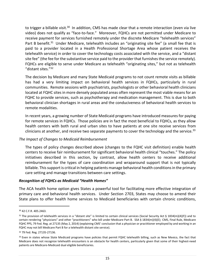to trigger a billable visit.<sup>30</sup> In addition, CMS has made clear that a remote interaction (even via live video) does not qualify as "face-to-face." Moreover, FQHCs are not permitted under Medicare to receive payment for services furnished remotely under the discrete Medicare "telehealth services" Part B benefit.<sup>31</sup> Under Medicare, telehealth includes an "originating site fee" (a small fee that is paid to a provider located in a Health Professional Shortage Area whose patient receives the telehealth service) in order to cover the technology costs associated with the service, and a "distant site fee" (the fee for the substantive service paid to the provider that furnishes the service remotely). FQHCs are eligible to serve under Medicare as telehealth "originating sites," but not as telehealth "distant sites."<sup>32</sup>

The decision by Medicare and many State Medicaid programs to not count remote visits as billable has had a very limiting impact on behavioral health services in FQHCs, particularly in rural communities. Remote sessions with psychiatrists, psychologists or other behavioral health clinicians located at FQHC sites in more densely populated areas often represent the most viable means for an FQHC to provide services, such as psychotherapy and medication management. This is due to both behavioral clinician shortages in rural areas and the conduciveness of behavioral health services to remote modalities.

In recent years, a growing number of State Medicaid programs have introduced measures for paying for remote services in FQHCs. Those policies are in fact the most beneficial to FQHCs, as they allow health centers with both rural and urban sites to have patients at one site receive services from clinicians at another, and receive two separate payments to cover the technology and the service.  $33$ 

#### *The Impact of Changes to Medicaid Reimbursement*

The types of policy changes described above (changes to the FQHC visit definition) enable health centers to receive fair reimbursement for significant behavioral health clinical "touches." The policy initiatives described in this section, by contrast, allow health centers to receive additional reimbursement for the types of care coordination and wraparound support that is not typically billable. This support is critical in helping patients manage behavioral health conditions in the primary care setting and manage transitions between care settings.

#### *Recognition of FQHCs as Medicaid "Health Homes"*

The ACA health home option gives States a powerful tool for facilitating more effective integration of primary care and behavioral health services. Under Section 2703, States may choose to amend their State plans to offer health home services to Medicaid beneficiaries with certain chronic conditions,

<sup>30</sup> 42 C.F.R. 405.2463.

<sup>&</sup>lt;sup>31</sup> The provision of telehealth services in a "distant site" is limited to certain clinical services (Social Security Act § 1834(m)(4)(F)) and to certain rendering "physicians" and other "practitioners" who bill under Medicare Part B. SSA § 1834(m)(4)(E); CMS, Final Rule, Medicare FQHC PPS, 79 Fed. Reg. at 27135 (May 2, 2014) (explaining CMS' conclusion that a physician or practitioner employed by and working in an FQHC may not bill Medicare Part B for a telehealth distant site service).

<sup>32</sup> 79 Fed. Reg. 27135-27136.

<sup>33</sup> Even in states whose State Medicaid programs have policies that permit FQHC telehealth billing, such as New Mexico, the fact that Medicare does not recognize telehealth encounters is an obstacle for health centers, particularly given that some of their highest-need patients are Medicare-Medicaid dual eligible beneficiaries.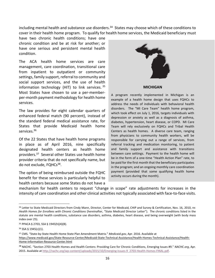including mental health and substance use disorders.<sup>34</sup> States may choose which of these conditions to cover in their health home program. To qualify for health home services, the Medicaid beneficiary must

have two chronic health conditions; have one chronic condition and be at risk for another; or have one serious and persistent mental health condition.

The ACA health home services are care management, care coordination, transitional care from inpatient to outpatient or community settings, family support, referral to community and social support services, and the use of health information technology (HIT) to link services.  $35$ Most States have chosen to use a per-memberper-month payment methodology for health home services.

The law provides for eight calendar quarters of enhanced federal match (90 percent), instead of the standard federal medical assistance rate, for States that provide Medicaid health home services.<sup>36</sup>

Of the 22 States that have health home programs in place as of April 2016, nine specifically designated health centers as health home providers.<sup>37</sup> Several other States use health home provider criteria that do not specifically name, but do not exclude, FQHCs<sup>38</sup>.

The option of being reimbursed outside the FQHC benefit for these services is particularly helpful to health centers because some States do not have a



#### **MICHIGAN**

A program recently implemented in Michigan is an example of a health home design that uses FQHCs to address the needs of individuals with behavioral health disorders. The "MI Care Team" health home program, which took effect on July 1, 2016, targets individuals with depression or anxiety as well as a diagnosis of asthma, diabetes, hypertension, heart disease, or COPD. MI Care Team will rely exclusively on FQHCs and Tribal Health Centers as health homes. A diverse care team, ranging from physicians to community health workers, will be responsible for carrying out a range of services, from referral tracking and medication monitoring, to patient and family support and assistance with transitions between care settings. Payment to the health home will be in the form of a one-time "Health Action Plan" rate, to be paid for the first month that the beneficiary participates in the program; and an ongoing monthly care coordination payment (provided that some qualifying health home activity occurs during the month).

mechanism for health centers to request "change in scope" rate adjustments for increases in the intensity of care coordination and other clinical activities not typically associated with face-to-face visits.

<sup>34</sup> Letter to State Medicaid Directors from Cindy Mann, Director, Center for Medicaid, CHIP and Survey & Certification, Nov. 16, 2010, re: *Health Homes for Enrollees with Chronic Conditions* (hereinafter, "State Medicaid Director Letter"). The chronic conditions listed in the statute are mental health conditions, substance use disorders, asthma, diabetes, heart disease, and being overweight (with body mass index over 25).

<sup>35</sup> PPACA § 2703, SSA § 1945(h)(4)(B).

<sup>36</sup> SSA § 1945(c)(1).

<sup>37</sup> CMS. "State-by-State Health Home State Plan Amendment Matrix." *Medicaid.gov*, Apr. 2016. Available at [https://www.medicaid.gov/State-Resource-Center/Medicaid-State-Technical-Assistance/Health-Homes-Technical-Assistance/Health-](https://www.medicaid.gov/State-Resource-Center/Medicaid-State-Technical-Assistance/Health-Homes-Technical-Assistance/Health-Home-Information-Resource-Center.html)[Home-Information-Resource-Center.html](https://www.medicaid.gov/State-Resource-Center/Medicaid-State-Technical-Assistance/Health-Homes-Technical-Assistance/Health-Home-Information-Resource-Center.html)

<sup>38</sup> NACHC. "[Section 2703 Health Homes and Health Centers: Providing Care for Chronic Conditions, Emerging Issues #9.](http://nachc.org/wp-content/uploads/2015/10/Emerging-Issues-9_2703-Health-Homes-FINAL.pdf)" *NACHC.org*, Apr. 2015. Available at [http://nachc.org/wp-content/uploads/2015/10/Emerging-Issues-9\\_2703-Health-Homes-FINAL.pdf.](http://nachc.org/wp-content/uploads/2015/10/Emerging-Issues-9_2703-Health-Homes-FINAL.pdf)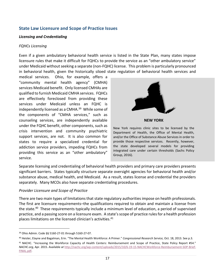# **State Law Licensure and Scope of Practice Issues**

#### *Licensing and Credentialing*

#### *FQHCs Licensing*

Even if a given ambulatory behavioral health service is listed in the State Plan, many states impose licensure rules that make it difficult for FQHCs to provide the service as an "other ambulatory service" under Medicaid without seeking a separate (non-FQHC) license. This problem is particularly pronounced in behavioral health, given the historically siloed state regulation of behavioral health services and

medical services. Ohio, for example, offers a "community mental health agency" (CMHA) services Medicaid benefit. Only licensed CMHAs are qualified to furnish Medicaid CMHA services. FQHCs are effectively foreclosed from providing these services under Medicaid unless an FQHC is independently licensed as a CMHA.<sup>39</sup> While some of the components of "CMHA services," such as counseling services, are independently available under the FQHC benefit, other components, such as crisis intervention and community psychiatric support services, are not. It is also common for states to require a specialized credential for addiction service providers, impeding FQHCs from providing this service as an "other ambulatory" service.



**NEW YORK**

New York requires clinic sites to be licensed by the Department of Health, the Office of Mental Health, and/or the Office of Substance Abuse Services in order to provide those respective services. Recently, however, the state developed several models for providing integrated care under certain thresholds (Sachs Policy Group, 2016).

Separate licensing and credentialing of behavioral health providers and primary care providers presents significant barriers. States typically structure separate oversight agencies for behavioral health and/or substance abuse, medical health, and Medicaid. As a result, states license and credential the providers separately. Many MCOs also have separate credentialing procedures.

#### *Provider Licensure and Scope of Practice*

There are two main types of limitations that state regulatory authorities impose on health professionals. The first are licensure requirements–the qualifications required to obtain and maintain a license from the state.<sup>40</sup> These requirements typically include a minimum level of education, a period of supervised practice, and a passing score on a licensure exam. A state's scope of practice rules for a health profession places limitations on the licensed clinician's activities.<sup>41</sup>

<sup>39</sup> Ohio Admin. Code §§ 5160-27-01 through 5160-27-07.

<sup>40</sup> Heisler, Elayne and Bagalman, Erin. "The Mental Health Workforce: A Primer." *Congressional Research Service,* Oct. 18, 2013. See p.3.

<sup>41</sup> NACHC. "[Increasing the Workforce Capacity of Health Centers: Reimbursement and Scope of Practice, State Policy Report #54.](http://nachc.org/wp-content/uploads/2015/10/6-19-15-NACHCWorkforce-Reimbursement-SOP-Brief-FINAL.pdf)" *NACHC.org,* Apr. 2015. Available a*t* [http://nachc.org/wp-content/uploads/2015/10/6-19-15-NACHCWorkforce-Reimbursement-SOP-Brief-](http://nachc.org/wp-content/uploads/2015/10/6-19-15-NACHCWorkforce-Reimbursement-SOP-Brief-FINAL.pdf)[FINAL.pdf.](http://nachc.org/wp-content/uploads/2015/10/6-19-15-NACHCWorkforce-Reimbursement-SOP-Brief-FINAL.pdf)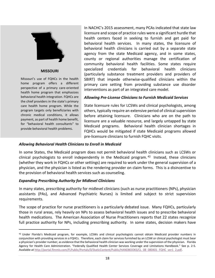

#### **MISSOURI**

Missouri's use of FQHCs in the health home program offers a different perspective of a primary care-oriented health home program that emphasizes behavioral health integration. FQHCs are the chief providers in the state's primary care health home program. While the program targets only beneficiaries with chronic medical conditions, it allows payment, as part of health home benefit, for "behavioral health consultants" to provide behavioral health problems.

 $\overline{\phantom{a}}$ 

In NACHC's 2015 assessment, many PCAs indicated that state law licensure and scope of practice rules were a significant hurdle that health centers faced in seeking to furnish and get paid for behavioral health services. In many states, the licensure of behavioral health clinicians is carried out by a separate state agency from the state Medicaid agency, and in some states, county or regional authorities manage the certification of community behavioral health facilities. Some states require specialized credentials for behavioral health clinicians (particularly substance treatment providers and providers of SBIRT) that impede otherwise-qualified clinicians within the primary care setting from providing substance use disorder interventions as part of an integrated care model.

#### *Allowing Pre-License Clinicians to Furnish Medicaid Services*

State licensure rules for LCSWs and clinical psychologists, among others, typically require an extensive period of clinical supervision before attaining licensure. Clinicians who are on the path to licensure are a valuable resource, and largely untapped by state Medicaid programs. Behavioral health clinician shortages in FQHCs would be mitigated if state Medicaid programs allowed pre-licensure clinicians to furnish FQHC visits.

#### *Allowing Behavioral Health Clinicians to Enroll in Medicaid*

In some States, the Medicaid program does not permit behavioral health clinicians such as LCSWs or clinical psychologists to enroll independently in the Medicaid program.  $42$  Instead, these clinicians (whether they work in FQHCs or other settings) are required to work under the general supervision of a physician, and the physician is listed as the rendering provider on claim forms. This is a disincentive to the provision of behavioral health services such as counseling.

#### *Expanding Prescribing Authority for Midlevel Clinicians*

In many states, prescribing authority for midlevel clinicians (such as nurse practitioners (NPs), physician assistants (PAs), and Advanced Psychiatric Nurses) is limited and subject to strict supervision requirements.

The scope of practice for nurse practitioners is a particularly debated issue. Many FQHCs, particularly those in rural areas, rely heavily on NPs to assess behavioral health issues and to prescribe behavioral health medications. The American Association of Nurse Practitioners reports that 22 states recognize full practice authority for NPs, including prescribing authority. In some states, decision makers have

<sup>42</sup> Under Florida's Medicaid program, for example, LCSWs and clinical psychologists cannot obtain Medicaid provider numbers in conjunction with providing services in a FQHCs. Therefore, each claim for services furnished by an LCSW or clinical psychologist must bear a physician's provider number, as evidence that the behavioral health clinician was working under the supervision of the physician. Florida Agency for Health Care Administration. "Federally Qualified Health Center Services Coverage and Limitations Handbook." See p. 2-5. Available at [http://portal.flmmis.com/FLPublic/Portals/0/StaticContent/Public/HANDBOOKS/CL\\_08\\_080401\\_FQHC\\_ver1\\_2.pdf.](http://portal.flmmis.com/FLPublic/Portals/0/StaticContent/Public/HANDBOOKS/CL_08_080401_FQHC_ver1_2.pdf)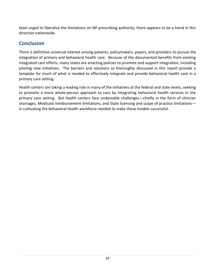been urged to liberalize the limitations on NP prescribing authority; there appears to be a trend in this direction nationwide.

# **Conclusion**

There is definitive universal interest among patients, policymakers, payers, and providers to pursue the integration of primary and behavioral health care. Because of the documented benefits from existing integrated care efforts, many states are enacting policies to promote and support integration, including piloting new initiatives. The barriers and solutions so thoroughly discussed in this report provide a template for much of what is needed to effectively integrate and provide behavioral health care in a primary care setting.

Health centers are taking a leading role in many of the initiatives at the federal and state levels, seeking to promote a more whole-person approach to care by integrating behavioral health services in the primary care setting. But health centers face undeniable challenges—chiefly in the form of clinician shortages, Medicaid reimbursement limitations, and State licensing and scope of practice limitations in cultivating the behavioral health workforce needed to make these models successful.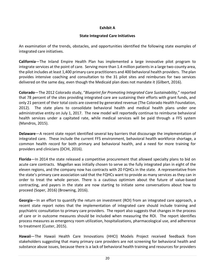#### **Exhibit A**

#### **State Integrated Care Initiatives**

An examination of the trends, obstacles, and opportunities identified the following state examples of integrated care initiatives.

**California**—The Inland Empire Health Plan has implemented a large innovative pilot program to integrate services at the point of care. Serving more than 1.4 million patients in a large two-county area, the pilot includes at least 1,400 primary care practitioners and 400 behavioral health providers. The plan provides intensive coaching and consultation to the 31 pilot sites and reimburses for two services delivered on the same day, even though the Medicaid plan does not mandate it (Gilbert, 2016).

**Colorado**—The 2012 Colorado study, "*Blueprint for Promoting Integrated Care Sustainability*," reported that 78 percent of the sites providing integrated care are sustaining their efforts with grant funds, and only 21 percent of their total costs are covered by generated revenue (The Colorado Health Foundation, 2012). The state plans to consolidate behavioral health and medical health plans under one administrative entity on July 1, 2017. The new model will reportedly continue to reimburse behavioral health services under a capitated rate, while medical services will be paid through a FFS system (Mandros, 2015).

**Delaware**—A recent state report identified several key barriers that discourage the implementation of integrated care. These include the current FFS environment, behavioral health workforce shortage, a common health record for both primary and behavioral health, and a need for more training for providers and clinicians (DCHI, 2016).

**Florida**—In 2014 the state released a competitive procurement that allowed specialty plans to bid on acute care contracts. Magellan was initially chosen to serve as the fully integrated plan in eight of the eleven regions, and the company now has contracts with 20 FQHCs in the state. A representative from the state's primary care association said that the FQHCs want to provide as many services as they can in order to treat the whole person. There is a cautious optimism about the future of value-based contracting, and payers in the state are now starting to initiate some conversations about how to proceed (Soper, 2016) (Browning, 2016).

**Georgia**—In an effort to quantify the return on investment (ROI) from an integrated care approach, a recent state report notes that the implementation of integrated care should include training and psychiatric consultation to primary care providers. The report also suggests that changes in the process of care or in outcome measures should be included when measuring the ROI. The report identifies process measures as emergency room utilization, hospitalizations, pharmacological use, and adherence to treatment (Custer, 2015).

**Hawaii**—The Hawaii Health Care Innovations (HHCI) Models Project received feedback from stakeholders suggesting that many primary care providers are not screening for behavioral health and substance abuse issues, because there is a lack of behavioral health training and resources for providers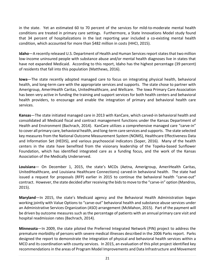in the state. Yet an estimated 60 to 70 percent of the services for mild-to-moderate mental health conditions are treated in primary care settings. Furthermore, a State Innovations Model study found that 34 percent of hospitalizations in the last reporting year included a co-existing mental health condition, which accounted for more than \$482 million in costs (HHCI, 2015).

**Idaho**—A recently released U.S. Department of Health and Human Services report states that two million low-income uninsured people with substance abuse and/or mental health diagnoses live in states that have not expanded Medicaid. According to this report, Idaho has the highest percentage (39 percent) of residents that fall into this population (Matthews, 2016).

**Iowa**—The state recently adopted managed care to focus on integrating physical health, behavioral health, and long-term care with the appropriate services and supports. The state chose to partner with Amerigroup, AmeriHealth Caritas, UnitedHealthcare, and Wellcare. The Iowa Primary Care Association has been very active in funding the training and support services for both health centers and behavioral health providers, to encourage and enable the integration of primary and behavioral health care services.

**Kansas**—The state initiated managed care in 2013 with KanCare, which carved-in behavioral health and consolidated all Medicaid fiscal and contract management functions under the Kansas Department of Health and Environment (Bachrach, 2014). KanCare utilizes a comprehensive managed care "carve-in" to cover all primary care, behavioral health, and long-term care services and supports. The state selected key measures from the National Outcome Measurement System (NOMS), Healthcare Effectiveness Data and Information Set (HEDIS), and various psychosocial indicators (Soper, 2016). Many of the health centers in the state have benefited from the visionary leadership of the Topeka-based Sunflower Foundation, which has identified integrated care as a funding focus, and the work of the Kansas Association of the Medically Underserved.

**Louisiana**— On December 1, 2015, the state's MCOs (Aetna, Amerigroup, AmeriHealth Caritas, UnitedHealthcare, and Louisiana Healthcare Connections) carved-in behavioral health. The state had issued a request for proposals (RFP) earlier in 2015 to continue the behavioral health "carve-out" contract. However, the state decided after receiving the bids to move to the "carve-in" option (Mandros, 2015).

**Maryland**—In 2015, the state's Medicaid agency and the Behavioral Health Administration began working jointly with Value Options to "carve-out" behavioral health and substance abuse services under an Administrative Services Organization (ASO) arrangement (McMahon, 2015). Part of the payment will be driven by outcome measures such as the percentage of patients with an annual primary care visit and hospital readmission rates (Bachrach, 2014).

**Minnesota**—In 2009, the state piloted the Preferred Integrated Network (PIN) project to address the premature morbidity of persons with severe medical illnesses described in the 2006 Parks report. Parks designed the report to demonstrate the integration of physical and behavioral health services within a MCO and its coordination with county services. In 2015, an evaluation of this pilot project identified key recommendations in the areas of Program Model Improvements and Data Infrastructure and Movement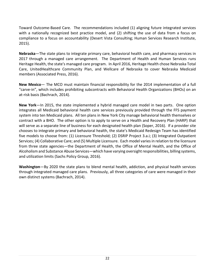Toward Outcome-Based Care. The recommendations included (1) aligning future integrated services with a nationally recognized best practice model, and (2) shifting the use of data from a focus on compliance to a focus on accountability (Desert Vista Consulting; Human Services Research Institute, 2015).

**Nebraska**—The state plans to integrate primary care, behavioral health care, and pharmacy services in 2017 through a managed care arrangement. The Department of Health and Human Services runs Heritage Health, the state's managed care program. In April 2016, Heritage Health chose Nebraska Total Care, UnitedHealthcare Community Plan, and Wellcare of Nebraska to cover Nebraska Medicaid members (Associated Press, 2016).

**New Mexico**— The MCO must maintain financial responsibility for the 2014 implementation of a full "carve-in", which includes prohibiting subcontracts with Behavioral Health Organizations (BHOs) on an at-risk basis (Bachrach, 2014).

**New York**—In 2015, the state implemented a hybrid managed care model in two parts. One option integrates all Medicaid behavioral health care services previously provided through the FFS payment system into ten Medicaid plans. All ten plans in New York City manage behavioral health themselves or contract with a BHO. The other option is to apply to serve on a Health and Recovery Plan (HARP) that will serve as a separate line of business for each designated health plan (Soper, 2016). If a provider site chooses to integrate primary and behavioral health, the state's Medicaid Redesign Team has identified five models to choose from: (1) Licensure Threshold; (2) DSRIP Project 3.a.i; (3) Integrated Outpatient Services; (4) Collaborative Care; and (5) Multiple Licensure. Each model variesin relation to the licensure from three state agencies—the Department of Health, the Office of Mental Health, and the Office of Alcoholism and Substance Abuse Services—which have varying oversight responsibilities, billing systems, and utilization limits (Sachs Policy Group, 2016).

**Washington**—By 2020 the state plans to blend mental health, addiction, and physical health services through integrated managed care plans. Previously, all three categories of care were managed in their own distinct systems (Bachrach, 2014).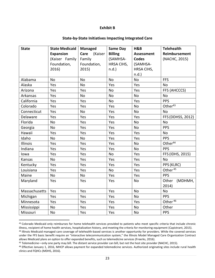#### **Exhibit B**

#### **State-by-State Initiatives Impacting Integrated Care**

| <b>State</b>  | <b>State Medicaid</b> | <b>Managed</b>  | <b>Same Day</b> | H&B          | <b>Telehealth</b>    |
|---------------|-----------------------|-----------------|-----------------|--------------|----------------------|
|               | <b>Expansion</b>      | Care<br>(Kaiser | <b>Billing</b>  | Assessment   | <b>Reimbursement</b> |
|               | (Kaiser Family        | Family          | (SAMHSA-        | <b>Codes</b> | (NACHC, 2015)        |
|               | Foundation,           | Foundation,     | HRSA CIHS,      | (SAMHSA-     |                      |
|               | 2016)                 | 2015)           | $n.d.$ )        | HRSA CIHS,   |                      |
|               |                       |                 |                 | $n.d.$ )     |                      |
| Alabama       | <b>No</b>             | <b>No</b>       | <b>No</b>       | <b>No</b>    | <b>FFS</b>           |
| Alaska        | Yes                   | No              | Yes             | Yes          | No                   |
| Arizona       | Yes                   | Yes             | <b>No</b>       | Yes          | FFS (AHCCCS)         |
| Arkansas      | Yes                   | No              | No              | No           | No                   |
| California    | Yes                   | Yes             | No              | Yes          | <b>PPS</b>           |
| Colorado      | Yes                   | Yes             | Yes             | <b>No</b>    | Other $43$           |
| Connecticut   | Yes                   | No              | Yes             | No           | <b>No</b>            |
| Delaware      | Yes                   | Yes             | Yes             | Yes          | FFS (DDHSS, 2012)    |
| Florida       | No                    | Yes             | Yes             | No           | No                   |
| Georgia       | No                    | Yes             | Yes             | No           | <b>PPS</b>           |
| Hawaii        | Yes                   | Yes             | Yes             | Yes          | <b>No</b>            |
| Idaho         | No                    | No              | Yes             | Yes          | <b>PPS</b>           |
| Illinois      | Yes                   | Yes             | Yes             | No           | Other <sup>44</sup>  |
| Indiana       | Yes                   | Yes             | Yes             | <b>No</b>    | <b>PPS</b>           |
| lowa          | Yes                   | Yes             | <b>No</b>       | Yes          | FFS (IDHS, 2015)     |
| Kansas        | No                    | Yes             | Yes             | Yes          | <b>No</b>            |
| Kentucky      | Yes                   | Yes             | Yes             | Yes          | PPS (KLRC)           |
| Louisiana     | Yes                   | Yes             | <b>No</b>       | Yes          | Other <sup>45</sup>  |
| Maine         | No                    | No              | Yes             | Yes          | <b>PPS</b>           |
| Maryland      | Yes                   | Yes             | Yes             | <b>No</b>    | Other<br>(MDHMH,     |
|               |                       |                 |                 |              | 2014)                |
| Massachusetts | Yes                   | Yes             | Yes             | <b>No</b>    | No                   |
| Michigan      | Yes                   | Yes             | Yes             | <b>No</b>    | <b>PPS</b>           |
| Minnesota     | Yes                   | Yes             | Yes             | Yes          | Other <sup>46</sup>  |
| Mississippi   | No                    | Yes             | Yes             | No           | Other                |
| Missouri      | No                    | Yes             | Yes             | No           | <b>PPS</b>           |

43 Colorado Medicaid only reimburses for home telehealth services provided to patients who meet specific criteria that include chronic illness, recipient of home health services, hospitalization history, and meeting the criteria for monitoring equipment (Capistrant, 2015).

<sup>44</sup> Illinois Medicaid managed care coverage of telehealth-based services is another opportunity for providers. While the covered services under the FFS basic benefit require an "interactive telecommunication system," the Illinois Model Managed Care Organization Contract allows Medicaid plans an option to offer expanded benefits, such as telemedicine services (Freerks, 2016).

<sup>45</sup> Telemedicine—only one party may bill. The distant service provider can bill, but not the host site provider (NACHC, 2015).

 $\overline{a}$ 

46 Effective January 1, 2016, MHCP allows payment for expanded telemedicine services. Authorized originating sites include rural health clinics and FQHCs (MDHS, 2016).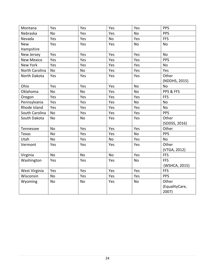| Montana           | Yes       | Yes       | Yes | Yes       | <b>PPS</b>     |
|-------------------|-----------|-----------|-----|-----------|----------------|
| Nebraska          | <b>No</b> | Yes       | Yes | No        | <b>PPS</b>     |
| Nevada            | Yes       | Yes       | No  | Yes       | <b>FFS</b>     |
| <b>New</b>        | Yes       | Yes       | Yes | <b>No</b> | <b>No</b>      |
| Hampshire         |           |           |     |           |                |
| New Jersey        | Yes       | Yes       | Yes | Yes       | <b>No</b>      |
| <b>New Mexico</b> | Yes       | Yes       | Yes | Yes       | <b>PPS</b>     |
| New York          | Yes       | Yes       | Yes | Yes       | No             |
| North Carolina    | <b>No</b> | No        | Yes | Yes       | Yes            |
| North Dakota      | Yes       | Yes       | Yes | Yes       | Other          |
|                   |           |           |     |           | (NDDHS, 2015)  |
| Ohio              | Yes       | Yes       | Yes | <b>No</b> | <b>No</b>      |
| Oklahoma          | No        | <b>No</b> | Yes | No        | PPS & FFS      |
| Oregon            | Yes       | Yes       | Yes | Yes       | <b>FFS</b>     |
| Pennsylvania      | Yes       | Yes       | Yes | No        | No             |
| Rhode Island      | Yes       | Yes       | Yes | Yes       | <b>No</b>      |
| South Carolina    | <b>No</b> | Yes       | Yes | Yes       | <b>PPS</b>     |
| South Dakota      | <b>No</b> | No        | Yes | Yes       | Other          |
|                   |           |           |     |           | (SDDSS, 2016)  |
| Tennessee         | <b>No</b> | Yes       | Yes | Yes       | Other          |
| Texas             | No        | Yes       | Yes | No        | <b>PPS</b>     |
| Utah              | No        | Yes       | No  | Yes       | No             |
| Vermont           | Yes       | Yes       | Yes | Yes       | Other          |
|                   |           |           |     |           | (VTGA, 2012)   |
| Virginia          | No        | No        | No  | Yes       | <b>FFS</b>     |
| Washington        | Yes       | Yes       | Yes | No        | <b>FFS</b>     |
|                   |           |           |     |           | (WSHCA, 2015)  |
| West Virginia     | Yes       | Yes       | Yes | Yes       | <b>FFS</b>     |
| Wisconsin         | <b>No</b> | Yes       | Yes | Yes       | <b>PPS</b>     |
| Wyoming           | <b>No</b> | No        | Yes | No        | Other          |
|                   |           |           |     |           | (EqualityCare, |
|                   |           |           |     |           | 2007)          |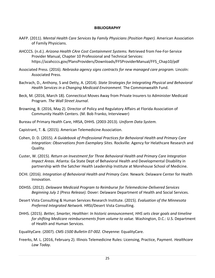#### **BIBLIOGRAPHY**

- AAFP. (2011). *Mental Health Care Services by Family Physicians (Position Paper).* American Association of Family Physicians.
- AHCCCS. (n.d.). *Arizona Health CAre Cost Containment Systems.* Retrieved from Fee-For-Service Provider Manual, Chapter 10 Professional and Technical Services: https://azahcccs.gov/PlansProviders/Downloads/FFSProviderManual/FFS\_Chap10/pdf
- Associated Press. (2016). *Nebraska agency signs contracts for new managed care program.* Lincoln: Associated Press.
- Bachrach, D., Anthony, S and Detty, A. (2014). *State Strategies for Integrating Physical and Behavioral Health Services in a Changing Medicaid Environment.* The Commonwealth Fund.
- Beck, M. (2016, March 18). Connecticut Moves Away from Private Insurers to Administer Medicaid Program. *The Wall Street Journal*.
- Browning, B. (2016, May 2). Director of Policy and Regulatory Affairs at Florida Association of Community Health Centers. (M. Bob Franko, Interviewer)
- Bureau of Primary Health Care, HRSA, DHHS. (2003-2013). *Uniform Data System.*
- Capistrant, T. &. (2015). American Telemedicine Association.
- Cohen, D. D. (2015). *A Guidebook of Professional Practices for Behavioral Health and Primary Care Integration: Observations from Exemplary Sites.* Rockville: Agency for Helathcare Research and Quality.
- Custer, W. (2015). *Return on Investment for Three Behavioral Health and Primary Care Integration Impact Areas.* Atlanta: Ga State Dept of Behavioral Health and Developmental Disability in partnership with the Satcher Health Leadership Institute at Morehouse School of Medicine.
- DCHI. (2016). *Integration of Behavioral Health and Primary Care.* Newark: Delaware Center for Health Innovation.
- DDHSS. (2012). *Delaware Medicaid Program to Reimburse for Telemedicine-Delivered Services Beginning July 1 (Press Release).* Dover: Delaware Department of Health and Social Services.
- Desert Vista Consulting & Human Services Research Institute. (2015). *Evaluation of the Minnesota Preferred Integrated Network.* HRSI/Desert Vista Consulting.
- DHHS. (2015). *Better, Smarter, Healthier: In historic announcement, HHS sets clear goals and timeline for shifting Medicare reimbursements from volume to value.* Washington, D.C.: U.S. Department of Health and Human Services.
- EqualityCare. (2007). *CMS-1500 Bulletin 07-002.* Cheyenne: EqualityCare.
- Freerks, M. L. (2016, February 2). Illinois Telemedicine Rules: Licensing, Practice, Payment. *Healthcare Law Today*.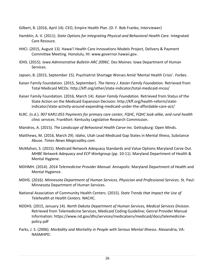- Gilbert, B. (2016, April 14). CEO, Empire Health Plan. (D. F. Bob Franko, Interviewer)
- Hamblin, A. V. (2011). *State Options for Integrating Physical and Behavioral Health Care.* Integrated Care Resouce.
- HHCI. (2015, August 13). Hawai'i Health Care Innovations Models Project, Delivery & Payment Committee Meeting. Honolulu, HI: www.governor.hawaii.gov.
- IDHS. (2015). *Iowa Adminstrative Bulletin ARC 2096C.* Des Moines: Iowa Department of Human Services.
- Japsen, B. (2015, September 15). Psychiatrist Shortage Worses Amid 'Mental Health Crisis'. *Forbes*.
- Kaiser Family Foundation. (2015, September). *The Henry J. Kasier Family Foundation.* Retrieved from Total Medicaid MCOs: http://kff.org/other/state-indicator/total-medicaid-mcos/
- Kaiser Family Foundation. (2016, March 14). *Kaiser Family Foundation.* Retrieved from Status of the State Action on the Medicaid Expansion Decision: http://kff.org/health-reform/stateindicator/state-activity-around-expanding-medicaid-under-the-affordable-care-act/
- KLRC. (n.d.). *907 KAR1:055 Payments for primary care center, FQHC, FQHC look-alike, and rural health clinic services.* Frankfort: Kentucky Legislative Research Commission.
- Mandros, A. (2015). *The Landscape of Behavioral Health Carve-Ins.* Gettsyburg: Open Minds.
- Matthews, M. (2016, March 29). Idaho, Utah Lead Medicaid Gap States in Mental Illness, Substance Abuse. *Times-News Magicvalley.com*.
- McMahon, S. (2015). Medicaid Network Adequacy Standards and Value Options Maryland Carve Out. *MHBE Network Adequacy and ECP Workgroup* (pp. 10-11). Maryland Department of Health & Mental Hygiene.
- MDHMH. (2014). *2014 Telemedicine Provider Manual.* Annapolis: Maryland Department of Health and Mental Hygience .
- MDHS. (2016). *Minnesota Department of Human Services, Physician and Professional Services.* St. Paul: Minnesota Department of Human Services.
- National Association of Community Health Centers. (2015). *State Trends that Impact the Use of Telehealth at Health Centers.* NACHC.
- NDDHS. (2015, January 14). *North Dakota Department of Human Services, Medical Services Division.* Retrieved from Telemedicine Services, Medicaid Coding Guideline; Genral Provider Manual Information: https://www.nd.gov/dhs/services/medicalserv/medicaid/docs/telemedicinepolicy.pdf
- Parks, J. S. (2006). *Morbidity and Mortality in People with Serious Mental Illnesss.* Alexandria, VA: NASMHPD.